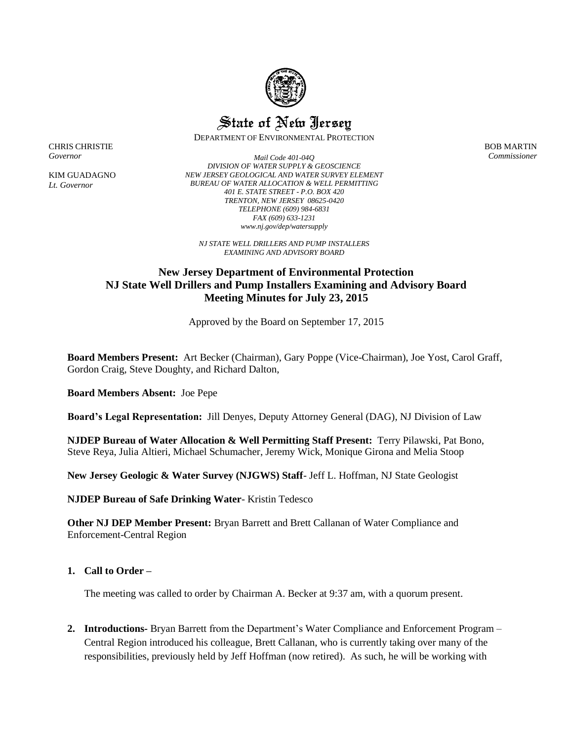

State of New Jersey

DEPARTMENT OF ENVIRONMENTAL PROTECTION

BOB MARTIN *Commissioner*

CHRIS CHRISTIE *Governor*

KIM GUADAGNO *Lt. Governor*

*Mail Code 401-04Q DIVISION OF WATER SUPPLY & GEOSCIENCE NEW JERSEY GEOLOGICAL AND WATER SURVEY ELEMENT BUREAU OF WATER ALLOCATION & WELL PERMITTING 401 E. STATE STREET - P.O. BOX 420 TRENTON, NEW JERSEY 08625-0420 TELEPHONE (609) 984-6831 FAX (609) 633-1231 www.nj.gov/dep/watersupply*

*NJ STATE WELL DRILLERS AND PUMP INSTALLERS EXAMINING AND ADVISORY BOARD*

# **New Jersey Department of Environmental Protection NJ State Well Drillers and Pump Installers Examining and Advisory Board Meeting Minutes for July 23, 2015**

Approved by the Board on September 17, 2015

**Board Members Present:** Art Becker (Chairman), Gary Poppe (Vice-Chairman), Joe Yost, Carol Graff, Gordon Craig, Steve Doughty, and Richard Dalton,

**Board Members Absent:** Joe Pepe

**Board's Legal Representation:** Jill Denyes, Deputy Attorney General (DAG), NJ Division of Law

**NJDEP Bureau of Water Allocation & Well Permitting Staff Present:** Terry Pilawski, Pat Bono, Steve Reya, Julia Altieri, Michael Schumacher, Jeremy Wick, Monique Girona and Melia Stoop

**New Jersey Geologic & Water Survey (NJGWS) Staff**- Jeff L. Hoffman, NJ State Geologist

**NJDEP Bureau of Safe Drinking Water**- Kristin Tedesco

**Other NJ DEP Member Present:** Bryan Barrett and Brett Callanan of Water Compliance and Enforcement-Central Region

## **1. Call to Order –**

The meeting was called to order by Chairman A. Becker at 9:37 am, with a quorum present.

**2. Introductions-** Bryan Barrett from the Department's Water Compliance and Enforcement Program – Central Region introduced his colleague, Brett Callanan, who is currently taking over many of the responsibilities, previously held by Jeff Hoffman (now retired). As such, he will be working with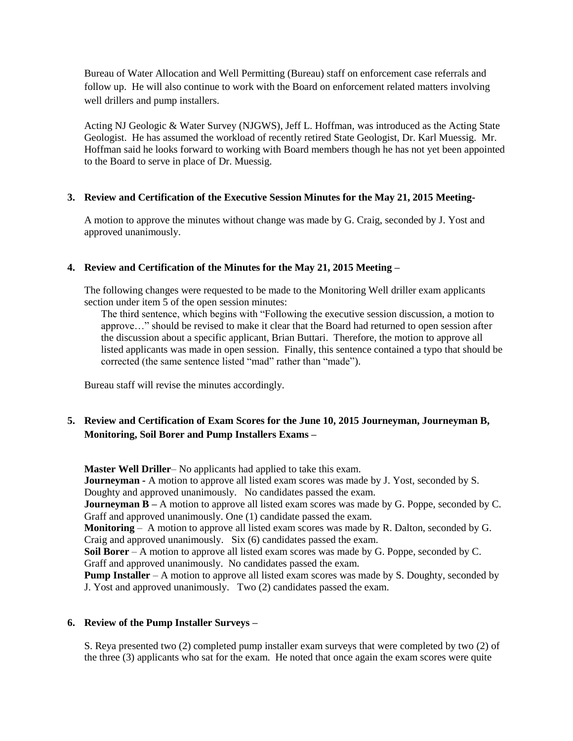Bureau of Water Allocation and Well Permitting (Bureau) staff on enforcement case referrals and follow up. He will also continue to work with the Board on enforcement related matters involving well drillers and pump installers.

Acting NJ Geologic & Water Survey (NJGWS), Jeff L. Hoffman, was introduced as the Acting State Geologist. He has assumed the workload of recently retired State Geologist, Dr. Karl Muessig. Mr. Hoffman said he looks forward to working with Board members though he has not yet been appointed to the Board to serve in place of Dr. Muessig.

## **3. Review and Certification of the Executive Session Minutes for the May 21, 2015 Meeting-**

A motion to approve the minutes without change was made by G. Craig, seconded by J. Yost and approved unanimously.

## **4. Review and Certification of the Minutes for the May 21, 2015 Meeting –**

The following changes were requested to be made to the Monitoring Well driller exam applicants section under item 5 of the open session minutes:

The third sentence, which begins with "Following the executive session discussion, a motion to approve…" should be revised to make it clear that the Board had returned to open session after the discussion about a specific applicant, Brian Buttari. Therefore, the motion to approve all listed applicants was made in open session. Finally, this sentence contained a typo that should be corrected (the same sentence listed "mad" rather than "made").

Bureau staff will revise the minutes accordingly.

## **5. Review and Certification of Exam Scores for the June 10, 2015 Journeyman, Journeyman B, Monitoring, Soil Borer and Pump Installers Exams –**

**Master Well Driller**– No applicants had applied to take this exam. **Journeyman -** A motion to approve all listed exam scores was made by J. Yost, seconded by S. Doughty and approved unanimously. No candidates passed the exam. **Journeyman B** – A motion to approve all listed exam scores was made by G. Poppe, seconded by C. Graff and approved unanimously. One (1) candidate passed the exam. **Monitoring** – A motion to approve all listed exam scores was made by R. Dalton, seconded by G. Craig and approved unanimously. Six (6) candidates passed the exam. **Soil Borer** – A motion to approve all listed exam scores was made by G. Poppe, seconded by C. Graff and approved unanimously. No candidates passed the exam. **Pump Installer** – A motion to approve all listed exam scores was made by S. Doughty, seconded by J. Yost and approved unanimously. Two (2) candidates passed the exam.

### **6. Review of the Pump Installer Surveys –**

S. Reya presented two (2) completed pump installer exam surveys that were completed by two (2) of the three (3) applicants who sat for the exam. He noted that once again the exam scores were quite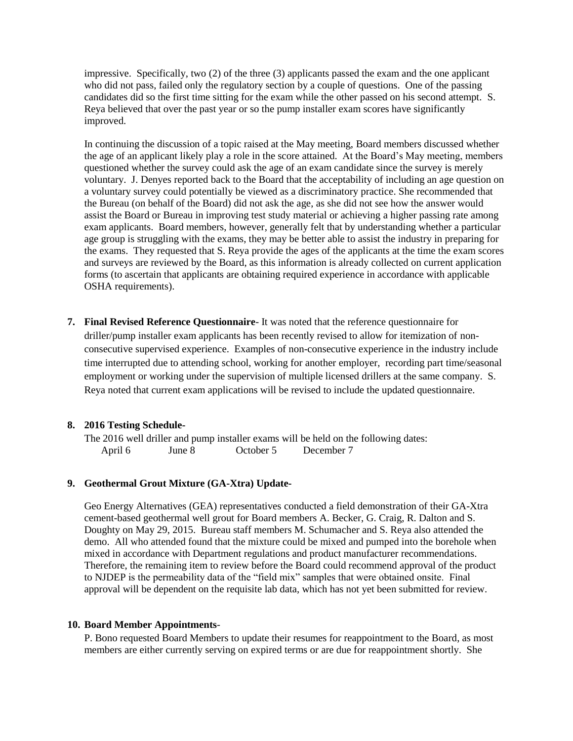impressive. Specifically, two (2) of the three (3) applicants passed the exam and the one applicant who did not pass, failed only the regulatory section by a couple of questions. One of the passing candidates did so the first time sitting for the exam while the other passed on his second attempt. S. Reya believed that over the past year or so the pump installer exam scores have significantly improved.

In continuing the discussion of a topic raised at the May meeting, Board members discussed whether the age of an applicant likely play a role in the score attained. At the Board's May meeting, members questioned whether the survey could ask the age of an exam candidate since the survey is merely voluntary. J. Denyes reported back to the Board that the acceptability of including an age question on a voluntary survey could potentially be viewed as a discriminatory practice. She recommended that the Bureau (on behalf of the Board) did not ask the age, as she did not see how the answer would assist the Board or Bureau in improving test study material or achieving a higher passing rate among exam applicants. Board members, however, generally felt that by understanding whether a particular age group is struggling with the exams, they may be better able to assist the industry in preparing for the exams. They requested that S. Reya provide the ages of the applicants at the time the exam scores and surveys are reviewed by the Board, as this information is already collected on current application forms (to ascertain that applicants are obtaining required experience in accordance with applicable OSHA requirements).

**7. Final Revised Reference Questionnaire**- It was noted that the reference questionnaire for driller/pump installer exam applicants has been recently revised to allow for itemization of nonconsecutive supervised experience. Examples of non-consecutive experience in the industry include time interrupted due to attending school, working for another employer, recording part time/seasonal employment or working under the supervision of multiple licensed drillers at the same company. S. Reya noted that current exam applications will be revised to include the updated questionnaire.

## **8. 2016 Testing Schedule-**

The 2016 well driller and pump installer exams will be held on the following dates: April 6 June 8 October 5 December 7

## **9. Geothermal Grout Mixture (GA-Xtra) Update-**

Geo Energy Alternatives (GEA) representatives conducted a field demonstration of their GA-Xtra cement-based geothermal well grout for Board members A. Becker, G. Craig, R. Dalton and S. Doughty on May 29, 2015. Bureau staff members M. Schumacher and S. Reya also attended the demo. All who attended found that the mixture could be mixed and pumped into the borehole when mixed in accordance with Department regulations and product manufacturer recommendations. Therefore, the remaining item to review before the Board could recommend approval of the product to NJDEP is the permeability data of the "field mix" samples that were obtained onsite. Final approval will be dependent on the requisite lab data, which has not yet been submitted for review.

## **10. Board Member Appointments**-

P. Bono requested Board Members to update their resumes for reappointment to the Board, as most members are either currently serving on expired terms or are due for reappointment shortly. She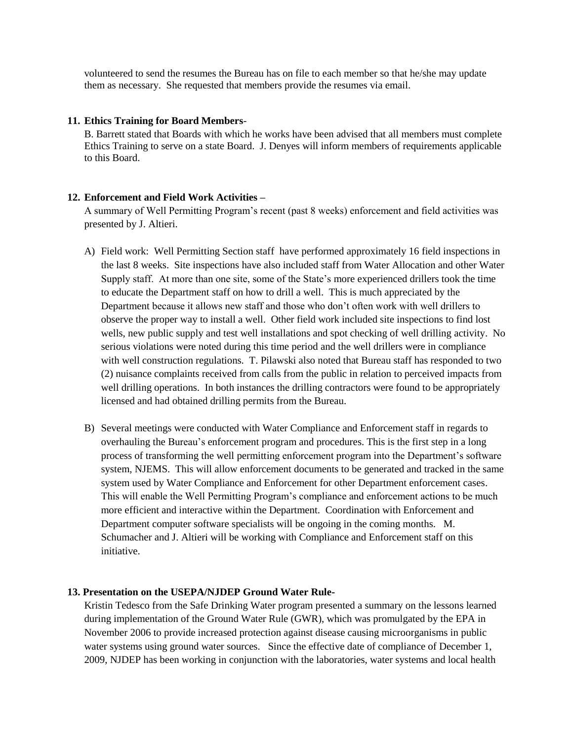volunteered to send the resumes the Bureau has on file to each member so that he/she may update them as necessary. She requested that members provide the resumes via email.

#### **11. Ethics Training for Board Members**-

B. Barrett stated that Boards with which he works have been advised that all members must complete Ethics Training to serve on a state Board. J. Denyes will inform members of requirements applicable to this Board.

## **12. Enforcement and Field Work Activities –**

A summary of Well Permitting Program's recent (past 8 weeks) enforcement and field activities was presented by J. Altieri.

- A) Field work: Well Permitting Section staff have performed approximately 16 field inspections in the last 8 weeks. Site inspections have also included staff from Water Allocation and other Water Supply staff. At more than one site, some of the State's more experienced drillers took the time to educate the Department staff on how to drill a well. This is much appreciated by the Department because it allows new staff and those who don't often work with well drillers to observe the proper way to install a well. Other field work included site inspections to find lost wells, new public supply and test well installations and spot checking of well drilling activity. No serious violations were noted during this time period and the well drillers were in compliance with well construction regulations. T. Pilawski also noted that Bureau staff has responded to two (2) nuisance complaints received from calls from the public in relation to perceived impacts from well drilling operations. In both instances the drilling contractors were found to be appropriately licensed and had obtained drilling permits from the Bureau.
- B) Several meetings were conducted with Water Compliance and Enforcement staff in regards to overhauling the Bureau's enforcement program and procedures. This is the first step in a long process of transforming the well permitting enforcement program into the Department's software system, NJEMS. This will allow enforcement documents to be generated and tracked in the same system used by Water Compliance and Enforcement for other Department enforcement cases. This will enable the Well Permitting Program's compliance and enforcement actions to be much more efficient and interactive within the Department. Coordination with Enforcement and Department computer software specialists will be ongoing in the coming months. M. Schumacher and J. Altieri will be working with Compliance and Enforcement staff on this initiative.

## **13. Presentation on the USEPA/NJDEP Ground Water Rule-**

Kristin Tedesco from the Safe Drinking Water program presented a summary on the lessons learned during implementation of the Ground Water Rule (GWR), which was promulgated by the EPA in November 2006 to provide increased protection against disease causing microorganisms in public water systems using ground water sources. Since the effective date of compliance of December 1, 2009, NJDEP has been working in conjunction with the laboratories, water systems and local health